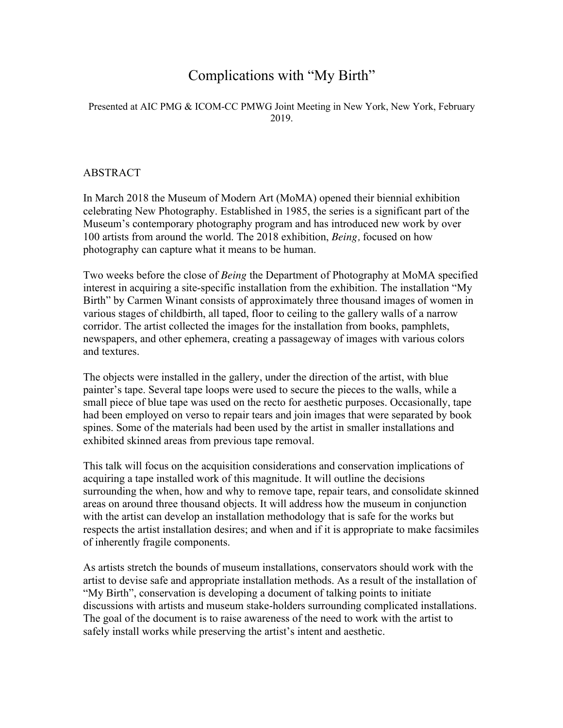## Complications with "My Birth"

## Presented at AIC PMG & ICOM-CC PMWG Joint Meeting in New York, New York, February 2019.

## ABSTRACT

In March 2018 the Museum of Modern Art (MoMA) opened their biennial exhibition celebrating New Photography. Established in 1985, the series is a significant part of the Museum's contemporary photography program and has introduced new work by over 100 artists from around the world. The 2018 exhibition, *Being,* focused on how photography can capture what it means to be human.

Two weeks before the close of *Being* the Department of Photography at MoMA specified interest in acquiring a site-specific installation from the exhibition. The installation "My Birth" by Carmen Winant consists of approximately three thousand images of women in various stages of childbirth, all taped, floor to ceiling to the gallery walls of a narrow corridor. The artist collected the images for the installation from books, pamphlets, newspapers, and other ephemera, creating a passageway of images with various colors and textures.

The objects were installed in the gallery, under the direction of the artist, with blue painter's tape. Several tape loops were used to secure the pieces to the walls, while a small piece of blue tape was used on the recto for aesthetic purposes. Occasionally, tape had been employed on verso to repair tears and join images that were separated by book spines. Some of the materials had been used by the artist in smaller installations and exhibited skinned areas from previous tape removal.

This talk will focus on the acquisition considerations and conservation implications of acquiring a tape installed work of this magnitude. It will outline the decisions surrounding the when, how and why to remove tape, repair tears, and consolidate skinned areas on around three thousand objects. It will address how the museum in conjunction with the artist can develop an installation methodology that is safe for the works but respects the artist installation desires; and when and if it is appropriate to make facsimiles of inherently fragile components.

As artists stretch the bounds of museum installations, conservators should work with the artist to devise safe and appropriate installation methods. As a result of the installation of "My Birth", conservation is developing a document of talking points to initiate discussions with artists and museum stake-holders surrounding complicated installations. The goal of the document is to raise awareness of the need to work with the artist to safely install works while preserving the artist's intent and aesthetic.